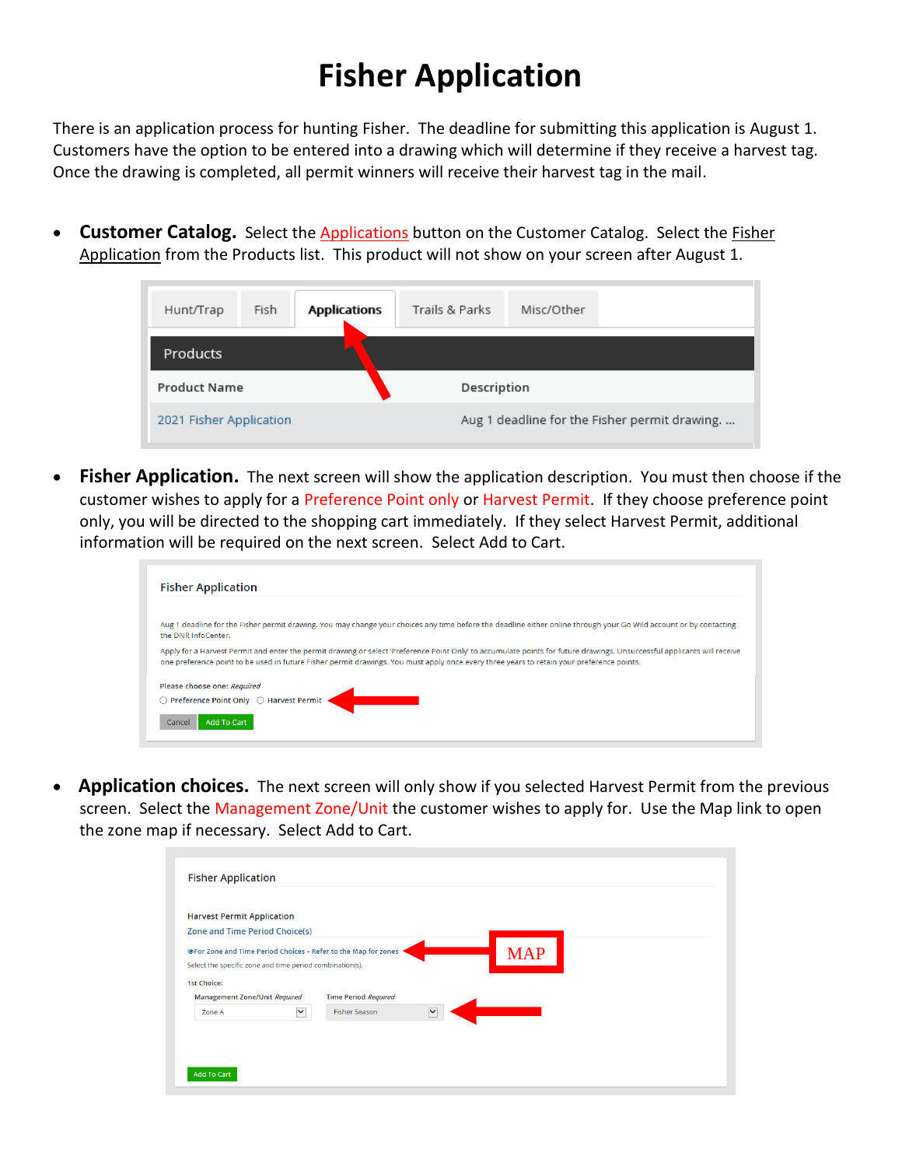## **Fisher Application**

There is an application process for hunting Fisher. The deadline for submitting this application is August 1. Customers have the option to be entered into a drawing which will determine if they receive a harvest tag. Once the drawing is completed, all permit winners will receive their harvest tag in the mail.

• **Customer Catalog.** Select the **Applications** button on the Customer Catalog. Select the **Fisher** Application from the Products list. This product will not show on your screen after August 1.

| Hunt/Trap               | Fish | <b>Applications</b> | Trails & Parks | Misc/Other                                    |  |  |
|-------------------------|------|---------------------|----------------|-----------------------------------------------|--|--|
| Products                |      |                     |                |                                               |  |  |
| <b>Product Name</b>     |      |                     | Description    |                                               |  |  |
| 2021 Fisher Application |      |                     |                | Aug 1 deadline for the Fisher permit drawing. |  |  |

• **Fisher Application.** The next screen will show the application description. You must then choose if the customer wishes to apply for a Preference Point only or Harvest Permit. If they choose preference point only, you will be directed to the shopping cart immediately. If they select Harvest Permit, additional information will be required on the next screen. Select Add to Cart.

| <b>Fisher Application</b>              |                                                                                                                                                                                                                                                                                                                       |
|----------------------------------------|-----------------------------------------------------------------------------------------------------------------------------------------------------------------------------------------------------------------------------------------------------------------------------------------------------------------------|
| the DNR InfoCenter.                    | Aug 1 deadline for the Fisher permit drawing. You may change your choices any time before the deadline either online through your Go Wild account or by contacting                                                                                                                                                    |
|                                        | Apply for a Harvest Permit and enter the permit drawing or select 'Preference Point Only' to accumulate points for future drawings. Unsuccessful applicants will receive<br>one preference point to be used in future Fisher permit drawings. You must apply once every three years to retain your preference points. |
| Please choose one: Required            |                                                                                                                                                                                                                                                                                                                       |
| Preference Point Only ○ Harvest Permit |                                                                                                                                                                                                                                                                                                                       |
| Add To Cart<br>Cancel                  |                                                                                                                                                                                                                                                                                                                       |
|                                        |                                                                                                                                                                                                                                                                                                                       |

• **Application choices.** The next screen will only show if you selected Harvest Permit from the previous screen. Select the Management Zone/Unit the customer wishes to apply for. Use the Map link to open the zone map if necessary. Select Add to Cart.

| <b>Harvest Permit Application</b><br><b>Zone and Time Period Choice(s)</b> |                                                      |
|----------------------------------------------------------------------------|------------------------------------------------------|
|                                                                            |                                                      |
| ⊕For Zone and Time Period Choices – Refer to the Map for zones             | <b>MAP</b>                                           |
| Select the specific zone and time period combination(s).                   |                                                      |
| <b>1st Choice:</b>                                                         |                                                      |
| <b>Management Zone/Unit Required</b>                                       | <b>Time Period Required</b>                          |
| Zone A                                                                     | <b>Fisher Season</b><br>$\checkmark$<br>$\checkmark$ |
|                                                                            |                                                      |
|                                                                            |                                                      |
|                                                                            |                                                      |